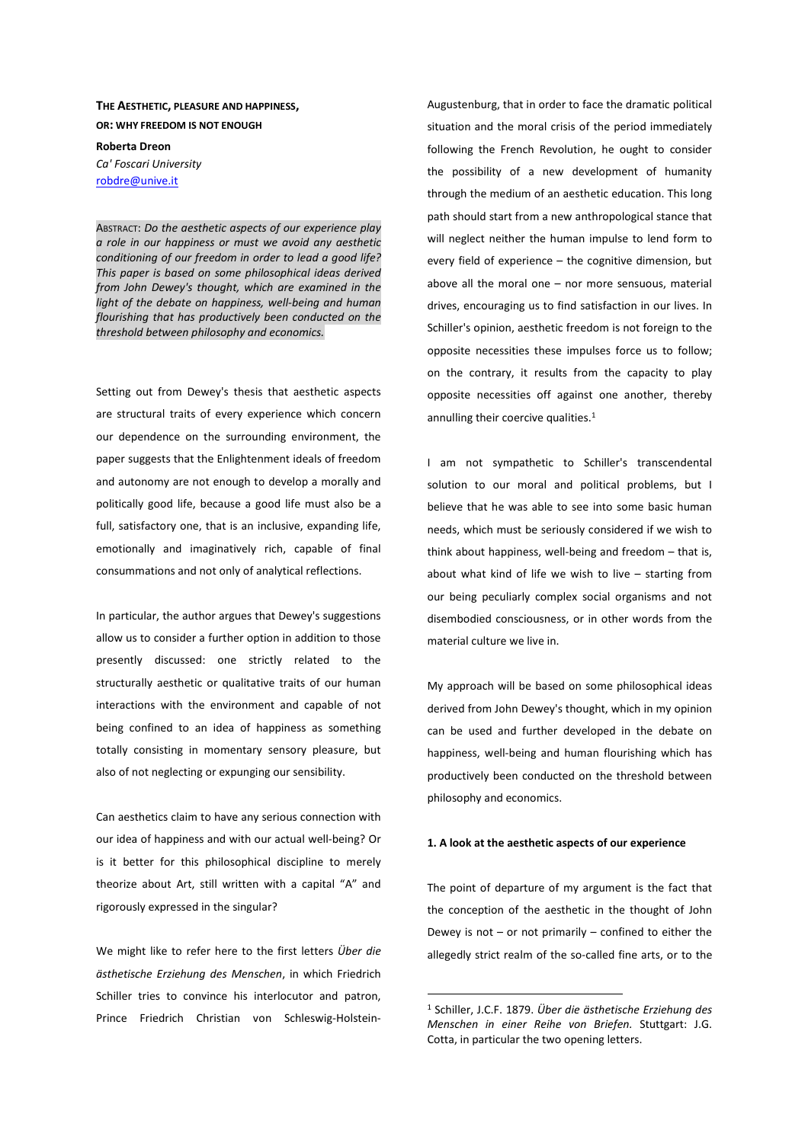# **THE AESTHETIC, PLEASURE AND HAPPINESS, OR: WHY FREEDOM IS NOT ENOUGH**

**Roberta Dreon** 

*Ca' Foscari University*  robdre@unive.it

ABSTRACT: *Do the aesthetic aspects of our experience play a role in our happiness or must we avoid any aesthetic conditioning of our freedom in order to lead a good life? This paper is based on some philosophical ideas derived from John Dewey's thought, which are examined in the light of the debate on happiness, well-being and human flourishing that has productively been conducted on the threshold between philosophy and economics.* 

Setting out from Dewey's thesis that aesthetic aspects are structural traits of every experience which concern our dependence on the surrounding environment, the paper suggests that the Enlightenment ideals of freedom and autonomy are not enough to develop a morally and politically good life, because a good life must also be a full, satisfactory one, that is an inclusive, expanding life, emotionally and imaginatively rich, capable of final consummations and not only of analytical reflections.

In particular, the author argues that Dewey's suggestions allow us to consider a further option in addition to those presently discussed: one strictly related to the structurally aesthetic or qualitative traits of our human interactions with the environment and capable of not being confined to an idea of happiness as something totally consisting in momentary sensory pleasure, but also of not neglecting or expunging our sensibility.

Can aesthetics claim to have any serious connection with our idea of happiness and with our actual well-being? Or is it better for this philosophical discipline to merely theorize about Art, still written with a capital "A" and rigorously expressed in the singular?

We might like to refer here to the first letters *Über die ästhetische Erziehung des Menschen*, in which Friedrich Schiller tries to convince his interlocutor and patron, Prince Friedrich Christian von Schleswig-HolsteinAugustenburg, that in order to face the dramatic political situation and the moral crisis of the period immediately following the French Revolution, he ought to consider the possibility of a new development of humanity through the medium of an aesthetic education. This long path should start from a new anthropological stance that will neglect neither the human impulse to lend form to every field of experience – the cognitive dimension, but above all the moral one – nor more sensuous, material drives, encouraging us to find satisfaction in our lives. In Schiller's opinion, aesthetic freedom is not foreign to the opposite necessities these impulses force us to follow; on the contrary, it results from the capacity to play opposite necessities off against one another, thereby annulling their coercive qualities.<sup>1</sup>

I am not sympathetic to Schiller's transcendental solution to our moral and political problems, but I believe that he was able to see into some basic human needs, which must be seriously considered if we wish to think about happiness, well-being and freedom – that is, about what kind of life we wish to live – starting from our being peculiarly complex social organisms and not disembodied consciousness, or in other words from the material culture we live in.

My approach will be based on some philosophical ideas derived from John Dewey's thought, which in my opinion can be used and further developed in the debate on happiness, well-being and human flourishing which has productively been conducted on the threshold between philosophy and economics.

### **1. A look at the aesthetic aspects of our experience**

The point of departure of my argument is the fact that the conception of the aesthetic in the thought of John Dewey is not – or not primarily – confined to either the allegedly strict realm of the so-called fine arts, or to the

<sup>1</sup> Schiller, J.C.F. 1879. *Über die ästhetische Erziehung des Menschen in einer Reihe von Briefen.* Stuttgart: J.G. Cotta, in particular the two opening letters.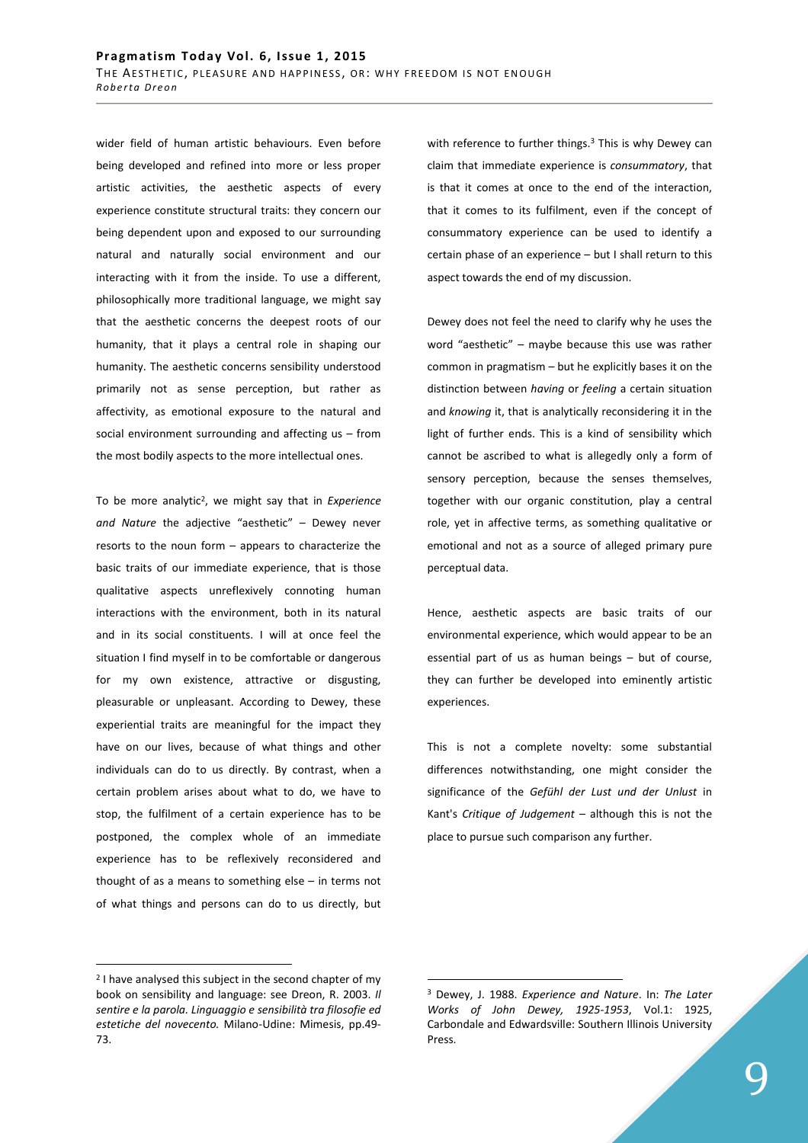wider field of human artistic behaviours. Even before being developed and refined into more or less proper artistic activities, the aesthetic aspects of every experience constitute structural traits: they concern our being dependent upon and exposed to our surrounding natural and naturally social environment and our interacting with it from the inside. To use a different, philosophically more traditional language, we might say that the aesthetic concerns the deepest roots of our humanity, that it plays a central role in shaping our humanity. The aesthetic concerns sensibility understood primarily not as sense perception, but rather as affectivity, as emotional exposure to the natural and social environment surrounding and affecting us – from the most bodily aspects to the more intellectual ones.

To be more analytic<sup>2</sup> , we might say that in *Experience and Nature* the adjective "aesthetic" – Dewey never resorts to the noun form – appears to characterize the basic traits of our immediate experience, that is those qualitative aspects unreflexively connoting human interactions with the environment, both in its natural and in its social constituents. I will at once feel the situation I find myself in to be comfortable or dangerous for my own existence, attractive or disgusting, pleasurable or unpleasant. According to Dewey, these experiential traits are meaningful for the impact they have on our lives, because of what things and other individuals can do to us directly. By contrast, when a certain problem arises about what to do, we have to stop, the fulfilment of a certain experience has to be postponed, the complex whole of an immediate experience has to be reflexively reconsidered and thought of as a means to something else – in terms not of what things and persons can do to us directly, but

with reference to further things.<sup>3</sup> This is why Dewey can claim that immediate experience is *consummatory*, that is that it comes at once to the end of the interaction, that it comes to its fulfilment, even if the concept of consummatory experience can be used to identify a certain phase of an experience – but I shall return to this aspect towards the end of my discussion.

Dewey does not feel the need to clarify why he uses the word "aesthetic" – maybe because this use was rather common in pragmatism – but he explicitly bases it on the distinction between *having* or *feeling* a certain situation and *knowing* it, that is analytically reconsidering it in the light of further ends. This is a kind of sensibility which cannot be ascribed to what is allegedly only a form of sensory perception, because the senses themselves, together with our organic constitution, play a central role, yet in affective terms, as something qualitative or emotional and not as a source of alleged primary pure perceptual data.

Hence, aesthetic aspects are basic traits of our environmental experience, which would appear to be an essential part of us as human beings – but of course, they can further be developed into eminently artistic experiences.

This is not a complete novelty: some substantial differences notwithstanding, one might consider the significance of the *Gefühl der Lust und der Unlust* in Kant's *Critique of Judgement* – although this is not the place to pursue such comparison any further.

 $\overline{a}$ 

<sup>&</sup>lt;sup>2</sup> I have analysed this subject in the second chapter of my book on sensibility and language: see Dreon, R. 2003. *Il sentire e la parola. Linguaggio e sensibilità tra filosofie ed estetiche del novecento.* Milano-Udine: Mimesis, pp.49- 73.

<sup>3</sup> Dewey, J. 1988. *Experience and Nature*. In: *The Later Works of John Dewey, 1925-1953*, Vol.1: 1925, Carbondale and Edwardsville: Southern Illinois University Press.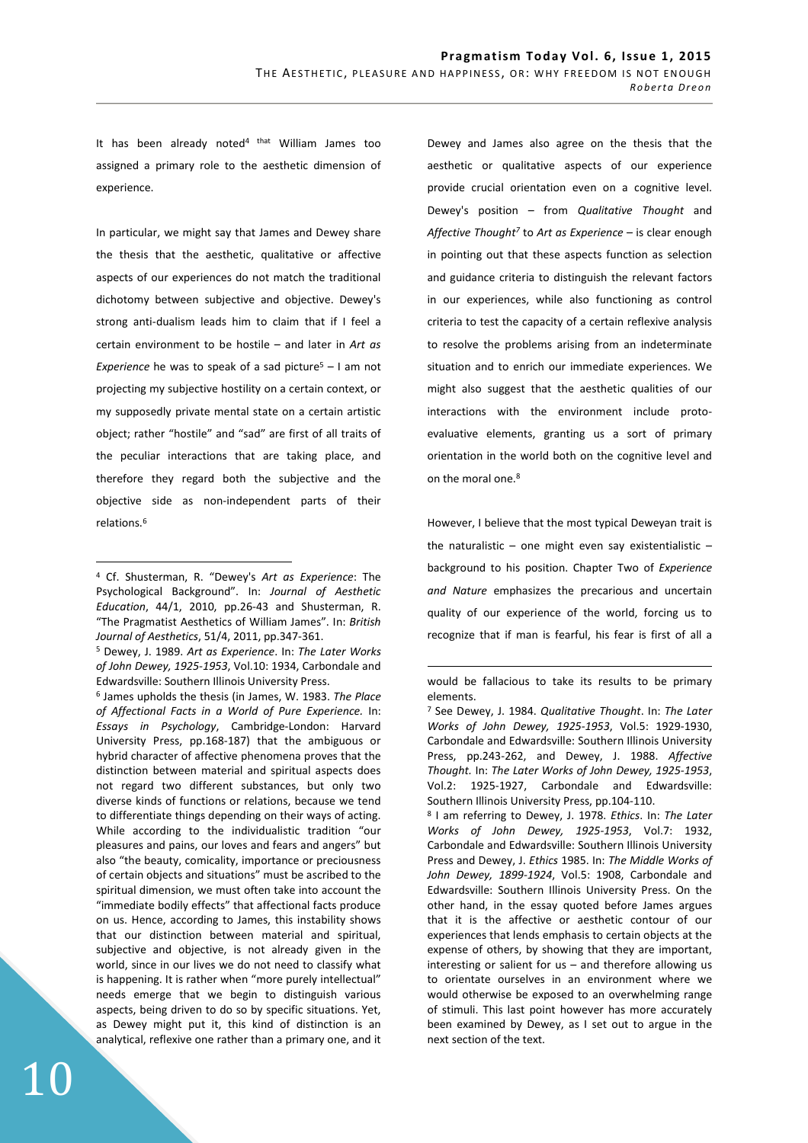It has been already noted $4$  that William James too assigned a primary role to the aesthetic dimension of experience.

In particular, we might say that James and Dewey share the thesis that the aesthetic, qualitative or affective aspects of our experiences do not match the traditional dichotomy between subjective and objective. Dewey's strong anti-dualism leads him to claim that if I feel a certain environment to be hostile – and later in *Art as*  Experience he was to speak of a sad picture<sup>5</sup> - I am not projecting my subjective hostility on a certain context, or my supposedly private mental state on a certain artistic object; rather "hostile" and "sad" are first of all traits of the peculiar interactions that are taking place, and therefore they regard both the subjective and the objective side as non-independent parts of their relations 6

 $\overline{a}$ 

5 Dewey, J. 1989. *Art as Experience*. In: *The Later Works of John Dewey, 1925-1953*, Vol.10: 1934, Carbondale and Edwardsville: Southern Illinois University Press.

6 James upholds the thesis (in James, W. 1983. *The Place of Affectional Facts in a World of Pure Experience.* In: *Essays in Psychology*, Cambridge-London: Harvard University Press, pp.168-187) that the ambiguous or hybrid character of affective phenomena proves that the distinction between material and spiritual aspects does not regard two different substances, but only two diverse kinds of functions or relations, because we tend to differentiate things depending on their ways of acting. While according to the individualistic tradition "our pleasures and pains, our loves and fears and angers" but also "the beauty, comicality, importance or preciousness of certain objects and situations" must be ascribed to the spiritual dimension, we must often take into account the "immediate bodily effects" that affectional facts produce on us. Hence, according to James, this instability shows that our distinction between material and spiritual, subjective and objective, is not already given in the world, since in our lives we do not need to classify what is happening. It is rather when "more purely intellectual" needs emerge that we begin to distinguish various aspects, being driven to do so by specific situations. Yet, as Dewey might put it, this kind of distinction is an analytical, reflexive one rather than a primary one, and it

Dewey and James also agree on the thesis that the aesthetic or qualitative aspects of our experience provide crucial orientation even on a cognitive level. Dewey's position – from *Qualitative Thought* and *Affective Thought<sup>7</sup>* to *Art as Experience* – is clear enough in pointing out that these aspects function as selection and guidance criteria to distinguish the relevant factors in our experiences, while also functioning as control criteria to test the capacity of a certain reflexive analysis to resolve the problems arising from an indeterminate situation and to enrich our immediate experiences. We might also suggest that the aesthetic qualities of our interactions with the environment include protoevaluative elements, granting us a sort of primary orientation in the world both on the cognitive level and on the moral one.<sup>8</sup>

However, I believe that the most typical Deweyan trait is the naturalistic – one might even say existentialistic – background to his position. Chapter Two of *Experience and Nature* emphasizes the precarious and uncertain quality of our experience of the world, forcing us to recognize that if man is fearful, his fear is first of all a

 $\overline{a}$ 

8 I am referring to Dewey, J. 1978. *Ethics*. In: *The Later Works of John Dewey, 1925-1953*, Vol.7: 1932, Carbondale and Edwardsville: Southern Illinois University Press and Dewey, J. *Ethics* 1985. In: *The Middle Works of John Dewey, 1899-1924*, Vol.5: 1908, Carbondale and Edwardsville: Southern Illinois University Press. On the other hand, in the essay quoted before James argues that it is the affective or aesthetic contour of our experiences that lends emphasis to certain objects at the expense of others, by showing that they are important, interesting or salient for us – and therefore allowing us to orientate ourselves in an environment where we would otherwise be exposed to an overwhelming range of stimuli. This last point however has more accurately been examined by Dewey, as I set out to argue in the next section of the text.

<sup>4</sup> Cf. Shusterman, R. "Dewey's *Art as Experience*: The Psychological Background". In: *Journal of Aesthetic Education*, 44/1, 2010, pp.26-43 and Shusterman, R. "The Pragmatist Aesthetics of William James". In: *British Journal of Aesthetics*, 51/4, 2011, pp.347-361.

would be fallacious to take its results to be primary elements.

<sup>7</sup> See Dewey, J. 1984. *Qualitative Thought*. In: *The Later Works of John Dewey, 1925-1953*, Vol.5: 1929-1930, Carbondale and Edwardsville: Southern Illinois University Press, pp.243-262, and Dewey, J. 1988. *Affective Thought.* In: *The Later Works of John Dewey, 1925-1953*, Vol.2: 1925-1927, Carbondale and Edwardsville: Southern Illinois University Press, pp.104-110.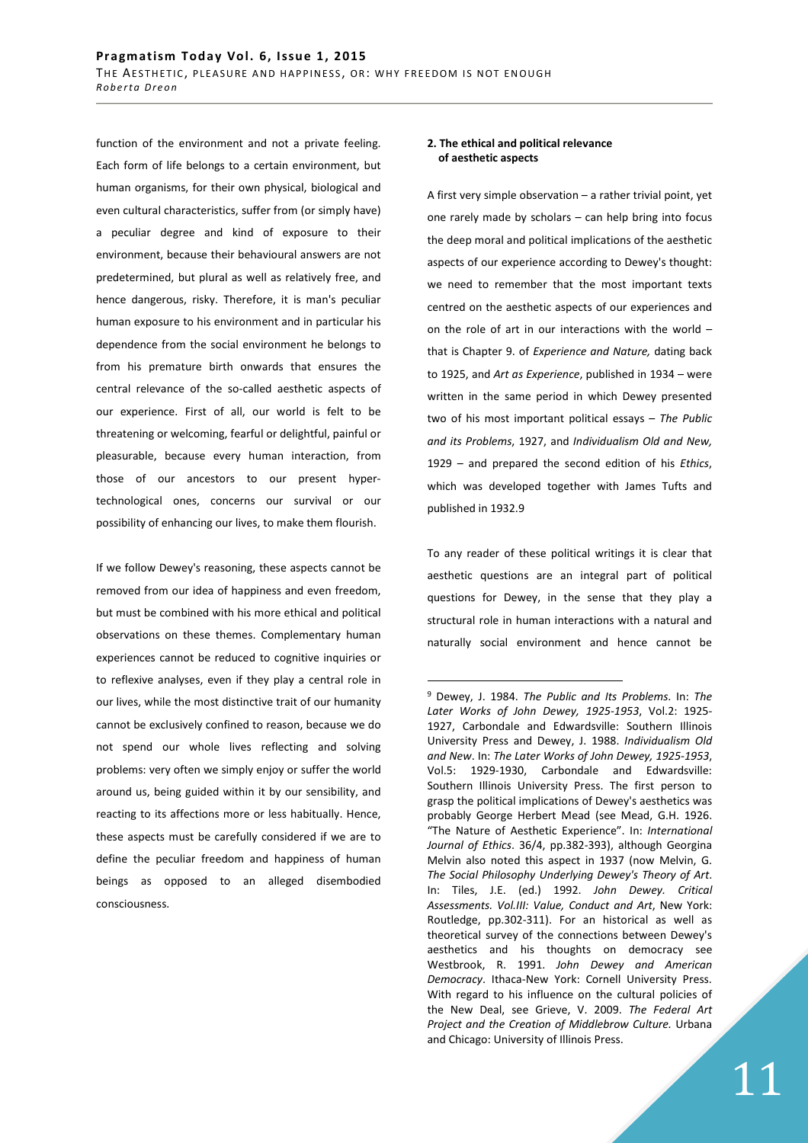function of the environment and not a private feeling. Each form of life belongs to a certain environment, but human organisms, for their own physical, biological and even cultural characteristics, suffer from (or simply have) a peculiar degree and kind of exposure to their environment, because their behavioural answers are not predetermined, but plural as well as relatively free, and hence dangerous, risky. Therefore, it is man's peculiar human exposure to his environment and in particular his dependence from the social environment he belongs to from his premature birth onwards that ensures the central relevance of the so-called aesthetic aspects of our experience. First of all, our world is felt to be threatening or welcoming, fearful or delightful, painful or pleasurable, because every human interaction, from those of our ancestors to our present hypertechnological ones, concerns our survival or our possibility of enhancing our lives, to make them flourish.

If we follow Dewey's reasoning, these aspects cannot be removed from our idea of happiness and even freedom, but must be combined with his more ethical and political observations on these themes. Complementary human experiences cannot be reduced to cognitive inquiries or to reflexive analyses, even if they play a central role in our lives, while the most distinctive trait of our humanity cannot be exclusively confined to reason, because we do not spend our whole lives reflecting and solving problems: very often we simply enjoy or suffer the world around us, being guided within it by our sensibility, and reacting to its affections more or less habitually. Hence, these aspects must be carefully considered if we are to define the peculiar freedom and happiness of human beings as opposed to an alleged disembodied consciousness.

#### **2. The ethical and political relevance of aesthetic aspects**

A first very simple observation – a rather trivial point, yet one rarely made by scholars – can help bring into focus the deep moral and political implications of the aesthetic aspects of our experience according to Dewey's thought: we need to remember that the most important texts centred on the aesthetic aspects of our experiences and on the role of art in our interactions with the world – that is Chapter 9. of *Experience and Nature,* dating back to 1925, and *Art as Experience*, published in 1934 – were written in the same period in which Dewey presented two of his most important political essays – *The Public and its Problems*, 1927, and *Individualism Old and New,* 1929 – and prepared the second edition of his *Ethics*, which was developed together with James Tufts and published in 1932.9

To any reader of these political writings it is clear that aesthetic questions are an integral part of political questions for Dewey, in the sense that they play a structural role in human interactions with a natural and naturally social environment and hence cannot be

<sup>9</sup> Dewey, J. 1984. *The Public and Its Problems*. In: *The Later Works of John Dewey, 1925-1953*, Vol.2: 1925- 1927, Carbondale and Edwardsville: Southern Illinois University Press and Dewey, J. 1988. *Individualism Old and New*. In: *The Later Works of John Dewey, 1925-1953*, Vol.5: 1929-1930, Carbondale and Edwardsville: Southern Illinois University Press. The first person to grasp the political implications of Dewey's aesthetics was probably George Herbert Mead (see Mead, G.H. 1926. "The Nature of Aesthetic Experience". In: *International Journal of Ethics*. 36/4, pp.382-393), although Georgina Melvin also noted this aspect in 1937 (now Melvin, G. *The Social Philosophy Underlying Dewey's Theory of Art*. In: Tiles, J.E. (ed.) 1992. *John Dewey. Critical Assessments. Vol.III: Value, Conduct and Art*, New York: Routledge, pp.302-311). For an historical as well as theoretical survey of the connections between Dewey's aesthetics and his thoughts on democracy see Westbrook, R. 1991. *John Dewey and American Democracy*. Ithaca-New York: Cornell University Press. With regard to his influence on the cultural policies of the New Deal, see Grieve, V. 2009. *The Federal Art Project and the Creation of Middlebrow Culture.* Urbana and Chicago: University of Illinois Press.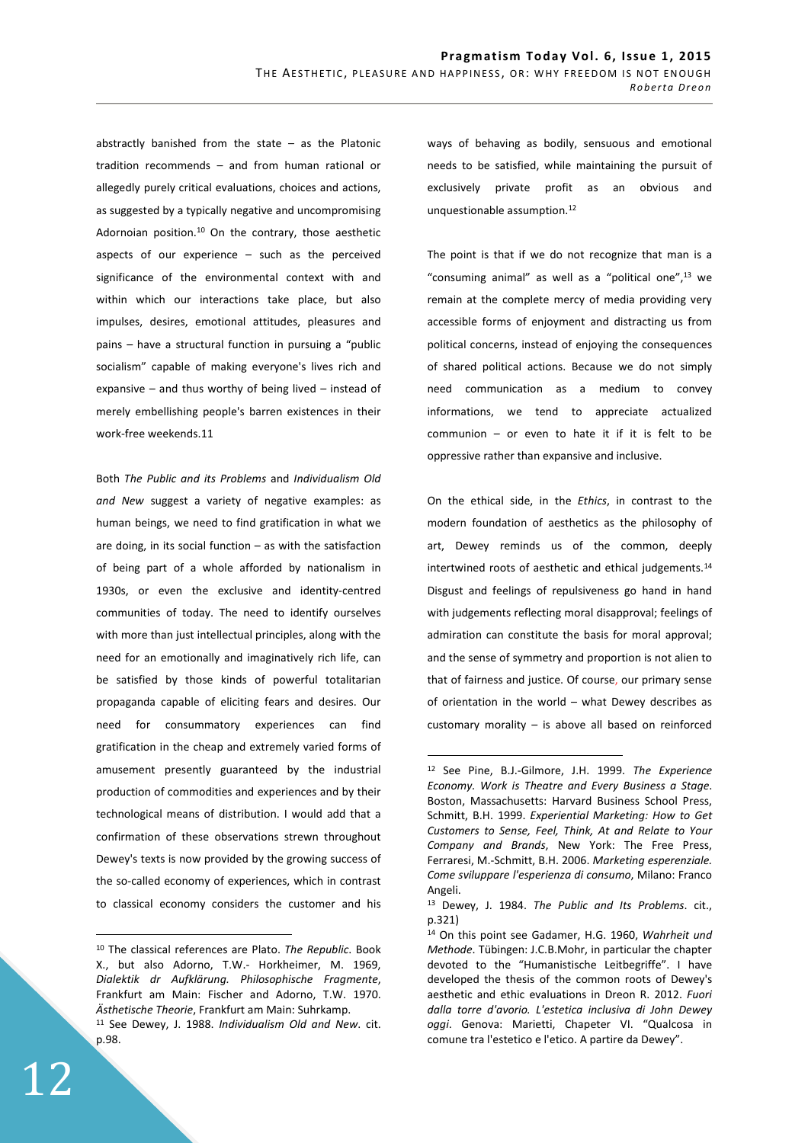abstractly banished from the state  $-$  as the Platonic tradition recommends – and from human rational or allegedly purely critical evaluations, choices and actions, as suggested by a typically negative and uncompromising Adornoian position.<sup>10</sup> On the contrary, those aesthetic aspects of our experience – such as the perceived significance of the environmental context with and within which our interactions take place, but also impulses, desires, emotional attitudes, pleasures and pains – have a structural function in pursuing a "public socialism" capable of making everyone's lives rich and expansive – and thus worthy of being lived – instead of merely embellishing people's barren existences in their work-free weekends.11

Both *The Public and its Problems* and *Individualism Old and New* suggest a variety of negative examples: as human beings, we need to find gratification in what we are doing, in its social function – as with the satisfaction of being part of a whole afforded by nationalism in 1930s, or even the exclusive and identity-centred communities of today. The need to identify ourselves with more than just intellectual principles, along with the need for an emotionally and imaginatively rich life, can be satisfied by those kinds of powerful totalitarian propaganda capable of eliciting fears and desires. Our need for consummatory experiences can find gratification in the cheap and extremely varied forms of amusement presently guaranteed by the industrial production of commodities and experiences and by their technological means of distribution. I would add that a confirmation of these observations strewn throughout Dewey's texts is now provided by the growing success of the so-called economy of experiences, which in contrast to classical economy considers the customer and his

ways of behaving as bodily, sensuous and emotional needs to be satisfied, while maintaining the pursuit of exclusively private profit as an obvious and unquestionable assumption.<sup>12</sup>

The point is that if we do not recognize that man is a "consuming animal" as well as a "political one",<sup>13</sup> we remain at the complete mercy of media providing very accessible forms of enjoyment and distracting us from political concerns, instead of enjoying the consequences of shared political actions. Because we do not simply need communication as a medium to convey informations, we tend to appreciate actualized communion – or even to hate it if it is felt to be oppressive rather than expansive and inclusive.

On the ethical side, in the *Ethics*, in contrast to the modern foundation of aesthetics as the philosophy of art, Dewey reminds us of the common, deeply intertwined roots of aesthetic and ethical judgements.<sup>14</sup> Disgust and feelings of repulsiveness go hand in hand with judgements reflecting moral disapproval; feelings of admiration can constitute the basis for moral approval; and the sense of symmetry and proportion is not alien to that of fairness and justice. Of course, our primary sense of orientation in the world – what Dewey describes as customary morality – is above all based on reinforced

 $\overline{a}$ 

<sup>10</sup> The classical references are Plato. *The Republic*. Book X., but also Adorno, T.W.- Horkheimer, M. 1969, *Dialektik dr Aufklärung. Philosophische Fragmente*, Frankfurt am Main: Fischer and Adorno, T.W. 1970. *Ästhetische Theorie*, Frankfurt am Main: Suhrkamp. <sup>11</sup> See Dewey, J. 1988. *Individualism Old and New*. cit. p.98.

<sup>12</sup> See Pine, B.J.-Gilmore, J.H. 1999. *The Experience Economy. Work is Theatre and Every Business a Stage*. Boston, Massachusetts: Harvard Business School Press, Schmitt, B.H. 1999. *Experiential Marketing: How to Get Customers to Sense, Feel, Think, At and Relate to Your Company and Brands*, New York: The Free Press, Ferraresi, M.-Schmitt, B.H. 2006. *Marketing esperenziale. Come sviluppare l'esperienza di consumo*, Milano: Franco Angeli.

<sup>13</sup> Dewey, J. 1984. *The Public and Its Problems*. cit., p.321)

<sup>14</sup> On this point see Gadamer, H.G. 1960, *Wahrheit und Methode*. Tübingen: J.C.B.Mohr, in particular the chapter devoted to the "Humanistische Leitbegriffe". I have developed the thesis of the common roots of Dewey's aesthetic and ethic evaluations in Dreon R. 2012. *Fuori dalla torre d'avorio. L'estetica inclusiva di John Dewey oggi*. Genova: Marietti, Chapeter VI. "Qualcosa in comune tra l'estetico e l'etico. A partire da Dewey".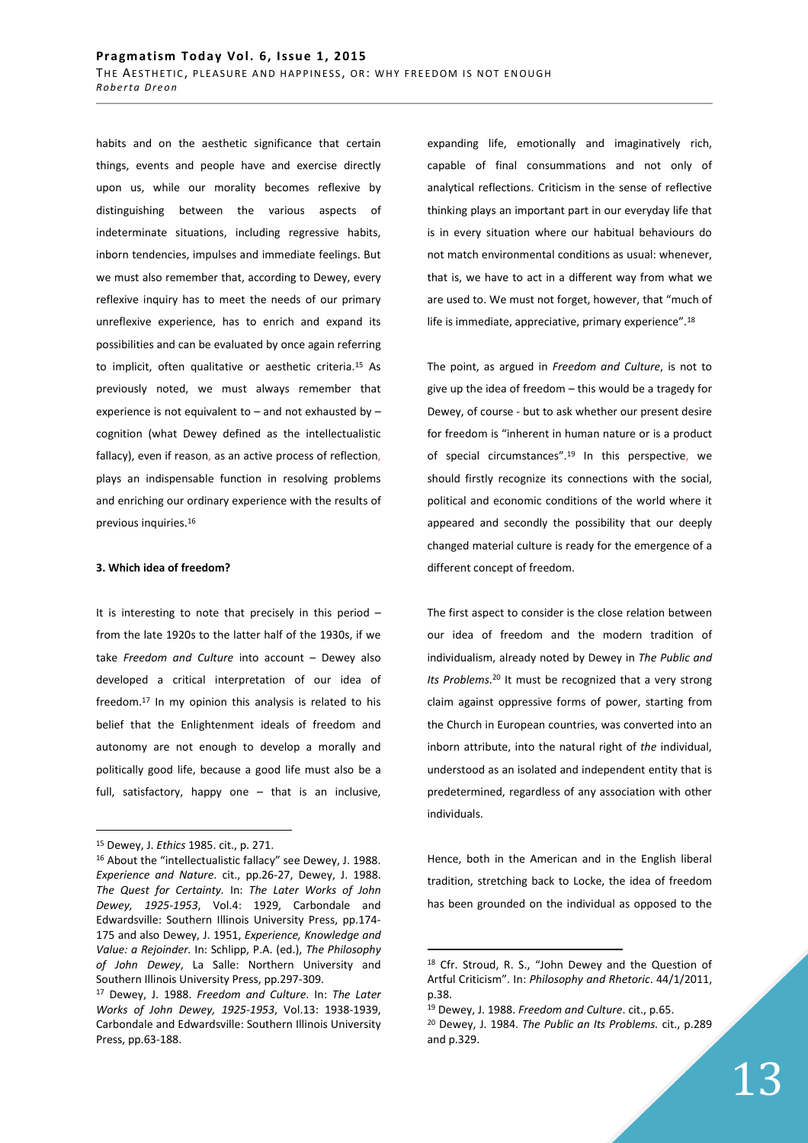habits and on the aesthetic significance that certain things, events and people have and exercise directly upon us, while our morality becomes reflexive by distinguishing between the various aspects of indeterminate situations, including regressive habits, inborn tendencies, impulses and immediate feelings. But we must also remember that, according to Dewey, every reflexive inquiry has to meet the needs of our primary unreflexive experience, has to enrich and expand its possibilities and can be evaluated by once again referring to implicit, often qualitative or aesthetic criteria.<sup>15</sup> As previously noted, we must always remember that experience is not equivalent to – and not exhausted by – cognition (what Dewey defined as the intellectualistic fallacy), even if reason, as an active process of reflection, plays an indispensable function in resolving problems and enriching our ordinary experience with the results of previous inquiries.<sup>16</sup>

## **3. Which idea of freedom?**

It is interesting to note that precisely in this period – from the late 1920s to the latter half of the 1930s, if we take *Freedom and Culture* into account – Dewey also developed a critical interpretation of our idea of freedom.<sup>17</sup> In my opinion this analysis is related to his belief that the Enlightenment ideals of freedom and autonomy are not enough to develop a morally and politically good life, because a good life must also be a full, satisfactory, happy one – that is an inclusive,

 $\overline{a}$ 

expanding life, emotionally and imaginatively rich, capable of final consummations and not only of analytical reflections. Criticism in the sense of reflective thinking plays an important part in our everyday life that is in every situation where our habitual behaviours do not match environmental conditions as usual: whenever, that is, we have to act in a different way from what we are used to. We must not forget, however, that "much of life is immediate, appreciative, primary experience".<sup>18</sup>

The point, as argued in *Freedom and Culture*, is not to give up the idea of freedom – this would be a tragedy for Dewey, of course - but to ask whether our present desire for freedom is "inherent in human nature or is a product of special circumstances".<sup>19</sup> In this perspective, we should firstly recognize its connections with the social, political and economic conditions of the world where it appeared and secondly the possibility that our deeply changed material culture is ready for the emergence of a different concept of freedom.

The first aspect to consider is the close relation between our idea of freedom and the modern tradition of individualism, already noted by Dewey in *The Public and Its Problems*. <sup>20</sup> It must be recognized that a very strong claim against oppressive forms of power, starting from the Church in European countries, was converted into an inborn attribute, into the natural right of *the* individual, understood as an isolated and independent entity that is predetermined, regardless of any association with other individuals.

Hence, both in the American and in the English liberal tradition, stretching back to Locke, the idea of freedom has been grounded on the individual as opposed to the

<sup>15</sup> Dewey, J. *Ethics* 1985. cit., p. 271.

<sup>16</sup> About the "intellectualistic fallacy" see Dewey, J. 1988. *Experience and Nature*. cit., pp.26-27, Dewey, J. 1988. *The Quest for Certainty.* In: *The Later Works of John Dewey, 1925-1953*, Vol.4: 1929, Carbondale and Edwardsville: Southern Illinois University Press, pp.174- 175 and also Dewey, J. 1951, *Experience, Knowledge and Value: a Rejoinder.* In: Schlipp, P.A. (ed.), *The Philosophy of John Dewey*, La Salle: Northern University and Southern Illinois University Press, pp.297-309.

<sup>17</sup> Dewey, J. 1988. *Freedom and Culture*. In: *The Later Works of John Dewey, 1925-1953*, Vol.13: 1938-1939, Carbondale and Edwardsville: Southern Illinois University Press, pp.63-188.

<sup>18</sup> Cfr. Stroud, R. S., "John Dewey and the Question of Artful Criticism". In: *Philosophy and Rhetoric*. 44/1/2011, p.38.

<sup>19</sup> Dewey, J. 1988. *Freedom and Culture*. cit., p.65.

<sup>20</sup> Dewey, J. 1984. *The Public an Its Problems.* cit., p.289 and p.329.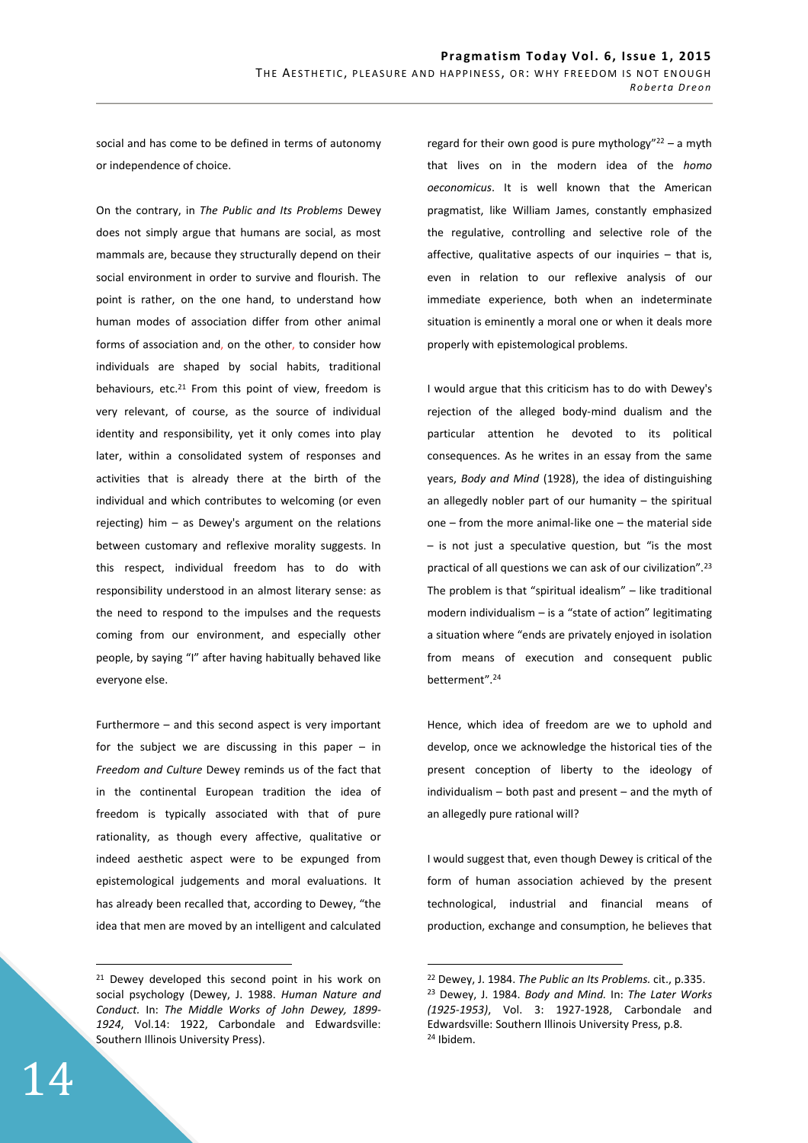social and has come to be defined in terms of autonomy or independence of choice.

On the contrary, in *The Public and Its Problems* Dewey does not simply argue that humans are social, as most mammals are, because they structurally depend on their social environment in order to survive and flourish. The point is rather, on the one hand, to understand how human modes of association differ from other animal forms of association and, on the other, to consider how individuals are shaped by social habits, traditional behaviours, etc.<sup>21</sup> From this point of view, freedom is very relevant, of course, as the source of individual identity and responsibility, yet it only comes into play later, within a consolidated system of responses and activities that is already there at the birth of the individual and which contributes to welcoming (or even rejecting) him – as Dewey's argument on the relations between customary and reflexive morality suggests. In this respect, individual freedom has to do with responsibility understood in an almost literary sense: as the need to respond to the impulses and the requests coming from our environment, and especially other people, by saying "I" after having habitually behaved like everyone else.

Furthermore – and this second aspect is very important for the subject we are discussing in this paper  $-$  in *Freedom and Culture* Dewey reminds us of the fact that in the continental European tradition the idea of freedom is typically associated with that of pure rationality, as though every affective, qualitative or indeed aesthetic aspect were to be expunged from epistemological judgements and moral evaluations. It has already been recalled that, according to Dewey, "the idea that men are moved by an intelligent and calculated regard for their own good is pure mythology" $22 - a$  myth that lives on in the modern idea of the *homo oeconomicus*. It is well known that the American pragmatist, like William James, constantly emphasized the regulative, controlling and selective role of the affective, qualitative aspects of our inquiries  $-$  that is, even in relation to our reflexive analysis of our immediate experience, both when an indeterminate situation is eminently a moral one or when it deals more properly with epistemological problems.

I would argue that this criticism has to do with Dewey's rejection of the alleged body-mind dualism and the particular attention he devoted to its political consequences. As he writes in an essay from the same years, *Body and Mind* (1928), the idea of distinguishing an allegedly nobler part of our humanity  $-$  the spiritual one – from the more animal-like one – the material side – is not just a speculative question, but "is the most practical of all questions we can ask of our civilization".<sup>23</sup> The problem is that "spiritual idealism" – like traditional modern individualism – is a "state of action" legitimating a situation where "ends are privately enjoyed in isolation from means of execution and consequent public betterment".<sup>24</sup>

Hence, which idea of freedom are we to uphold and develop, once we acknowledge the historical ties of the present conception of liberty to the ideology of individualism – both past and present – and the myth of an allegedly pure rational will?

I would suggest that, even though Dewey is critical of the form of human association achieved by the present technological, industrial and financial means of production, exchange and consumption, he believes that

 $\overline{a}$ 

<sup>&</sup>lt;sup>21</sup> Dewey developed this second point in his work on social psychology (Dewey, J. 1988. *Human Nature and Conduct.* In: *The Middle Works of John Dewey, 1899- 1924*, Vol.14: 1922, Carbondale and Edwardsville: Southern Illinois University Press).

<sup>22</sup> Dewey, J. 1984. *The Public an Its Problems.* cit., p.335. <sup>23</sup> Dewey, J. 1984. *Body and Mind.* In: *The Later Works (1925-1953)*, Vol. 3: 1927-1928, Carbondale and Edwardsville: Southern Illinois University Press, p.8. 24 Ibidem.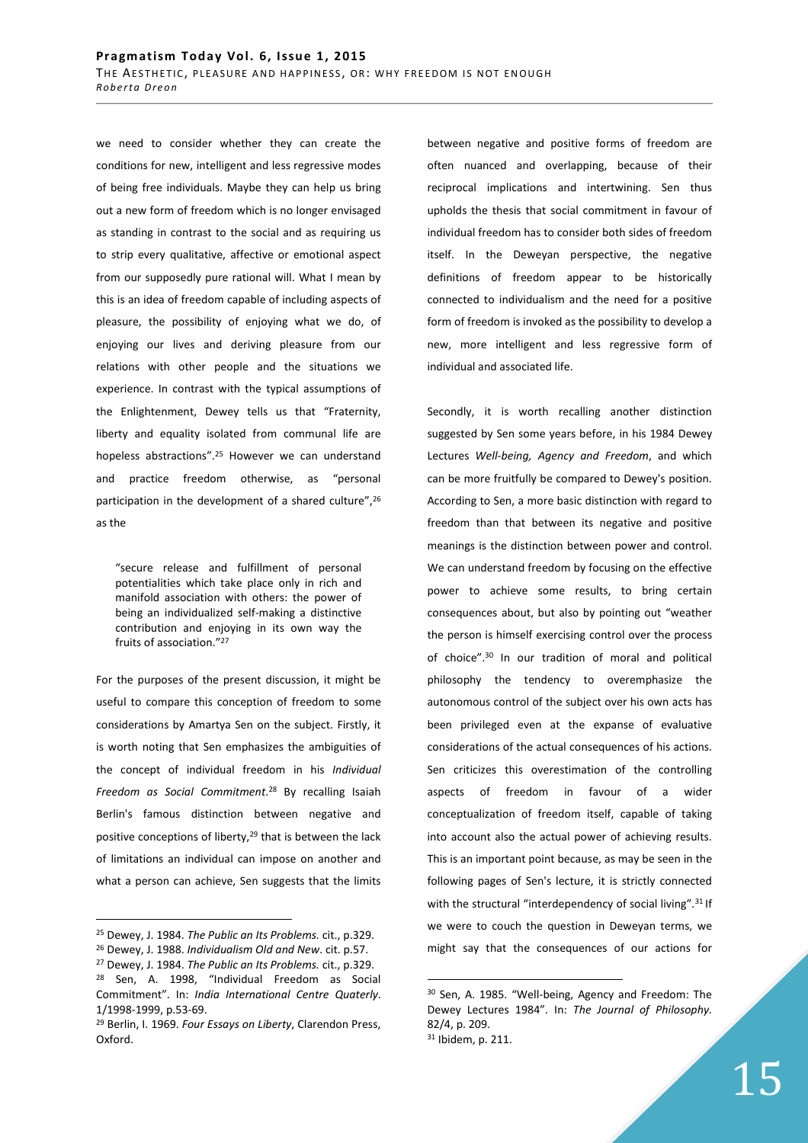we need to consider whether they can create the conditions for new, intelligent and less regressive modes of being free individuals. Maybe they can help us bring out a new form of freedom which is no longer envisaged as standing in contrast to the social and as requiring us to strip every qualitative, affective or emotional aspect from our supposedly pure rational will. What I mean by this is an idea of freedom capable of including aspects of pleasure, the possibility of enjoying what we do, of enjoying our lives and deriving pleasure from our relations with other people and the situations we experience. In contrast with the typical assumptions of the Enlightenment, Dewey tells us that "Fraternity, liberty and equality isolated from communal life are hopeless abstractions".<sup>25</sup> However we can understand and practice freedom otherwise, as "personal participation in the development of a shared culture",<sup>26</sup> as the

"secure release and fulfillment of personal potentialities which take place only in rich and manifold association with others: the power of being an individualized self-making a distinctive contribution and enjoying in its own way the fruits of association."<sup>27</sup>

For the purposes of the present discussion, it might be useful to compare this conception of freedom to some considerations by Amartya Sen on the subject. Firstly, it is worth noting that Sen emphasizes the ambiguities of the concept of individual freedom in his *Individual Freedom as Social Commitment*. <sup>28</sup> By recalling Isaiah Berlin's famous distinction between negative and positive conceptions of liberty,<sup>29</sup> that is between the lack of limitations an individual can impose on another and what a person can achieve, Sen suggests that the limits

 $\overline{a}$ 

between negative and positive forms of freedom are often nuanced and overlapping, because of their reciprocal implications and intertwining. Sen thus upholds the thesis that social commitment in favour of individual freedom has to consider both sides of freedom itself. In the Deweyan perspective, the negative definitions of freedom appear to be historically connected to individualism and the need for a positive form of freedom is invoked as the possibility to develop a new, more intelligent and less regressive form of individual and associated life.

Secondly, it is worth recalling another distinction suggested by Sen some years before, in his 1984 Dewey Lectures *Well-being, Agency and Freedom*, and which can be more fruitfully be compared to Dewey's position. According to Sen, a more basic distinction with regard to freedom than that between its negative and positive meanings is the distinction between power and control. We can understand freedom by focusing on the effective power to achieve some results, to bring certain consequences about, but also by pointing out "weather the person is himself exercising control over the process of choice".<sup>30</sup> In our tradition of moral and political philosophy the tendency to overemphasize the autonomous control of the subject over his own acts has been privileged even at the expanse of evaluative considerations of the actual consequences of his actions. Sen criticizes this overestimation of the controlling aspects of freedom in favour of a wider conceptualization of freedom itself, capable of taking into account also the actual power of achieving results. This is an important point because, as may be seen in the following pages of Sen's lecture, it is strictly connected with the structural "interdependency of social living".<sup>31</sup> If we were to couch the question in Deweyan terms, we might say that the consequences of our actions for

<sup>25</sup> Dewey, J. 1984. *The Public an Its Problems.* cit., p.329.

<sup>26</sup> Dewey, J. 1988. *Individualism Old and New*. cit. p.57. <sup>27</sup> Dewey, J. 1984. *The Public an Its Problems.* cit., p.329.

<sup>28</sup> Sen, A. 1998, "Individual Freedom as Social Commitment". In: *India International Centre Quaterly*. 1/1998-1999, p.53-69.

<sup>29</sup> Berlin, I. 1969. *Four Essays on Liberty*, Clarendon Press, Oxford.

<sup>30</sup> Sen, A. 1985. "Well-being, Agency and Freedom: The Dewey Lectures 1984". In: *The Journal of Philosophy.* 82/4, p. 209. 31 Ibidem, p. 211.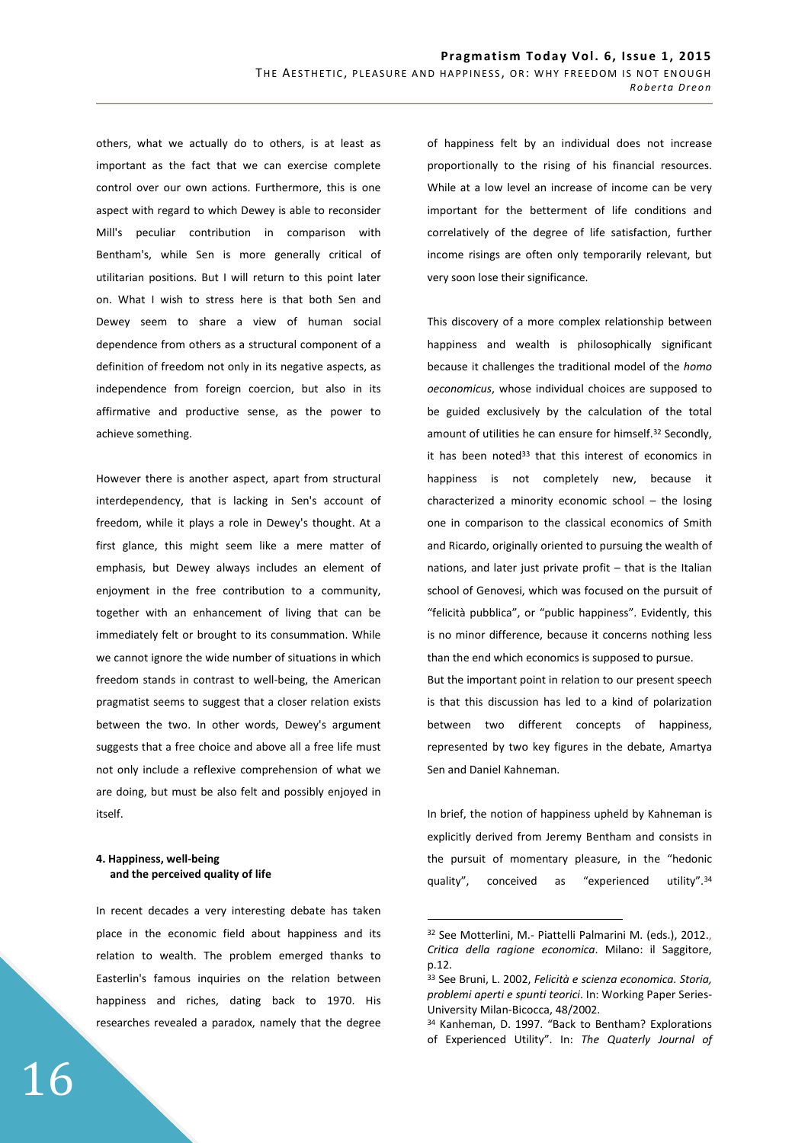others, what we actually do to others, is at least as important as the fact that we can exercise complete control over our own actions. Furthermore, this is one aspect with regard to which Dewey is able to reconsider Mill's peculiar contribution in comparison with Bentham's, while Sen is more generally critical of utilitarian positions. But I will return to this point later on. What I wish to stress here is that both Sen and Dewey seem to share a view of human social dependence from others as a structural component of a definition of freedom not only in its negative aspects, as independence from foreign coercion, but also in its affirmative and productive sense, as the power to achieve something.

However there is another aspect, apart from structural interdependency, that is lacking in Sen's account of freedom, while it plays a role in Dewey's thought. At a first glance, this might seem like a mere matter of emphasis, but Dewey always includes an element of enjoyment in the free contribution to a community, together with an enhancement of living that can be immediately felt or brought to its consummation. While we cannot ignore the wide number of situations in which freedom stands in contrast to well-being, the American pragmatist seems to suggest that a closer relation exists between the two. In other words, Dewey's argument suggests that a free choice and above all a free life must not only include a reflexive comprehension of what we are doing, but must be also felt and possibly enjoyed in itself.

## **4. Happiness, well-being and the perceived quality of life**

In recent decades a very interesting debate has taken place in the economic field about happiness and its relation to wealth. The problem emerged thanks to Easterlin's famous inquiries on the relation between happiness and riches, dating back to 1970. His researches revealed a paradox, namely that the degree of happiness felt by an individual does not increase proportionally to the rising of his financial resources. While at a low level an increase of income can be very important for the betterment of life conditions and correlatively of the degree of life satisfaction, further income risings are often only temporarily relevant, but very soon lose their significance.

This discovery of a more complex relationship between happiness and wealth is philosophically significant because it challenges the traditional model of the *homo oeconomicus*, whose individual choices are supposed to be guided exclusively by the calculation of the total amount of utilities he can ensure for himself.<sup>32</sup> Secondly, it has been noted $33$  that this interest of economics in happiness is not completely new, because it characterized a minority economic school – the losing one in comparison to the classical economics of Smith and Ricardo, originally oriented to pursuing the wealth of nations, and later just private profit – that is the Italian school of Genovesi, which was focused on the pursuit of "felicità pubblica", or "public happiness". Evidently, this is no minor difference, because it concerns nothing less than the end which economics is supposed to pursue. But the important point in relation to our present speech is that this discussion has led to a kind of polarization between two different concepts of happiness,

represented by two key figures in the debate, Amartya Sen and Daniel Kahneman.

In brief, the notion of happiness upheld by Kahneman is explicitly derived from Jeremy Bentham and consists in the pursuit of momentary pleasure, in the "hedonic quality", conceived as "experienced utility".<sup>34</sup>

<sup>32</sup> See Motterlini, M.- Piattelli Palmarini M. (eds.), 2012., *Critica della ragione economica*. Milano: il Saggitore, p.12.

<sup>33</sup> See Bruni, L. 2002, *Felicità e scienza economica. Storia, problemi aperti e spunti teorici*. In: Working Paper Series-University Milan-Bicocca, 48/2002.

<sup>34</sup> Kanheman, D. 1997. "Back to Bentham? Explorations of Experienced Utility". In: *The Quaterly Journal of*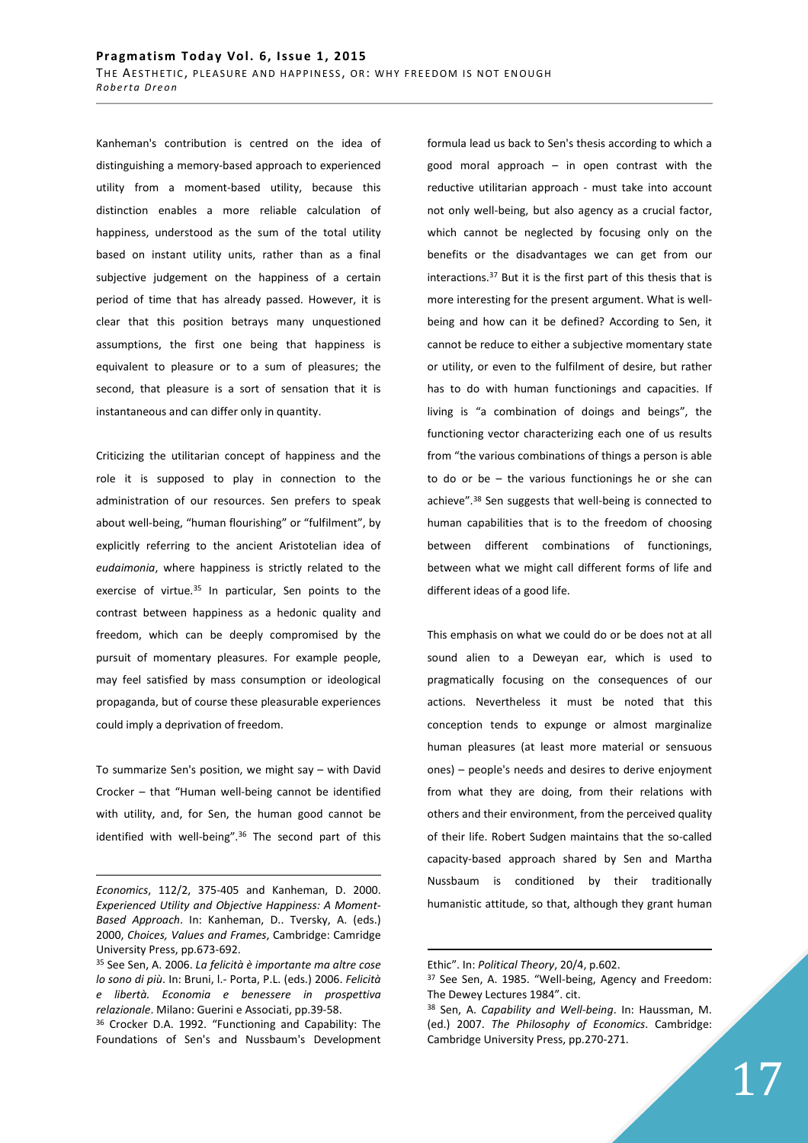Kanheman's contribution is centred on the idea of distinguishing a memory-based approach to experienced utility from a moment-based utility, because this distinction enables a more reliable calculation of happiness, understood as the sum of the total utility based on instant utility units, rather than as a final subjective judgement on the happiness of a certain period of time that has already passed. However, it is clear that this position betrays many unquestioned assumptions, the first one being that happiness is equivalent to pleasure or to a sum of pleasures; the second, that pleasure is a sort of sensation that it is instantaneous and can differ only in quantity.

Criticizing the utilitarian concept of happiness and the role it is supposed to play in connection to the administration of our resources. Sen prefers to speak about well-being, "human flourishing" or "fulfilment", by explicitly referring to the ancient Aristotelian idea of *eudaimonia*, where happiness is strictly related to the exercise of virtue.<sup>35</sup> In particular, Sen points to the contrast between happiness as a hedonic quality and freedom, which can be deeply compromised by the pursuit of momentary pleasures. For example people, may feel satisfied by mass consumption or ideological propaganda, but of course these pleasurable experiences could imply a deprivation of freedom.

To summarize Sen's position, we might say – with David Crocker – that "Human well-being cannot be identified with utility, and, for Sen, the human good cannot be identified with well-being".<sup>36</sup> The second part of this

<u>.</u>

formula lead us back to Sen's thesis according to which a good moral approach – in open contrast with the reductive utilitarian approach - must take into account not only well-being, but also agency as a crucial factor, which cannot be neglected by focusing only on the benefits or the disadvantages we can get from our interactions.<sup>37</sup> But it is the first part of this thesis that is more interesting for the present argument. What is wellbeing and how can it be defined? According to Sen, it cannot be reduce to either a subjective momentary state or utility, or even to the fulfilment of desire, but rather has to do with human functionings and capacities. If living is "a combination of doings and beings", the functioning vector characterizing each one of us results from "the various combinations of things a person is able to do or be – the various functionings he or she can achieve".<sup>38</sup> Sen suggests that well-being is connected to human capabilities that is to the freedom of choosing between different combinations of functionings, between what we might call different forms of life and different ideas of a good life.

This emphasis on what we could do or be does not at all sound alien to a Deweyan ear, which is used to pragmatically focusing on the consequences of our actions. Nevertheless it must be noted that this conception tends to expunge or almost marginalize human pleasures (at least more material or sensuous ones) – people's needs and desires to derive enjoyment from what they are doing, from their relations with others and their environment, from the perceived quality of their life. Robert Sudgen maintains that the so-called capacity-based approach shared by Sen and Martha Nussbaum is conditioned by their traditionally humanistic attitude, so that, although they grant human

*Economics*, 112/2, 375-405 and Kanheman, D. 2000. *Experienced Utility and Objective Happiness: A Moment-Based Approach*. In: Kanheman, D.. Tversky, A. (eds.) 2000, *Choices, Values and Frames*, Cambridge: Camridge University Press, pp.673-692.

<sup>35</sup> See Sen, A. 2006. *La felicità è importante ma altre cose lo sono di più*. In: Bruni, l.- Porta, P.L. (eds.) 2006. *Felicità e libertà. Economia e benessere in prospettiva relazionale*. Milano: Guerini e Associati, pp.39-58.

<sup>36</sup> Crocker D.A. 1992. "Functioning and Capability: The Foundations of Sen's and Nussbaum's Development

Ethic". In: *Political Theory*, 20/4, p.602.

<sup>37</sup> See Sen, A. 1985. "Well-being, Agency and Freedom: The Dewey Lectures 1984". cit.

<sup>38</sup> Sen, A. *Capability and Well-being*. In: Haussman, M. (ed.) 2007. *The Philosophy of Economics*. Cambridge: Cambridge University Press, pp.270-271.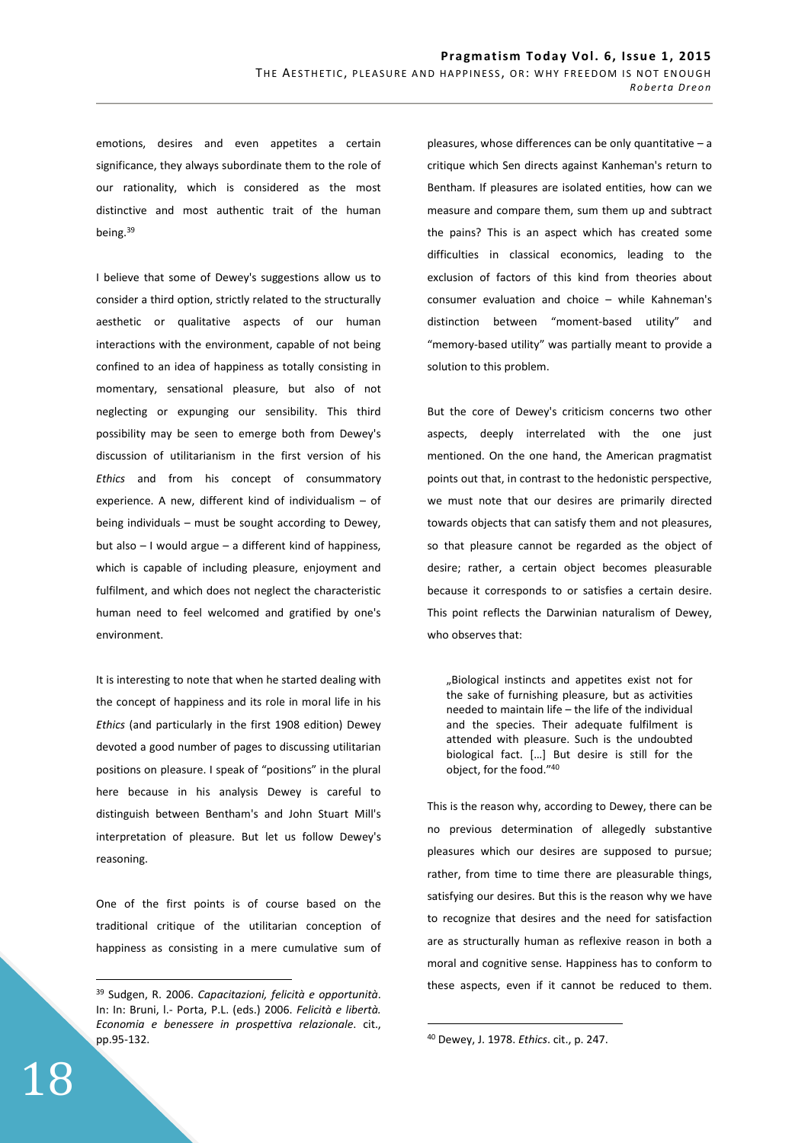emotions, desires and even appetites a certain significance, they always subordinate them to the role of our rationality, which is considered as the most distinctive and most authentic trait of the human being.<sup>39</sup>

I believe that some of Dewey's suggestions allow us to consider a third option, strictly related to the structurally aesthetic or qualitative aspects of our human interactions with the environment, capable of not being confined to an idea of happiness as totally consisting in momentary, sensational pleasure, but also of not neglecting or expunging our sensibility. This third possibility may be seen to emerge both from Dewey's discussion of utilitarianism in the first version of his *Ethics* and from his concept of consummatory experience. A new, different kind of individualism – of being individuals – must be sought according to Dewey, but also – I would argue – a different kind of happiness, which is capable of including pleasure, enjoyment and fulfilment, and which does not neglect the characteristic human need to feel welcomed and gratified by one's environment.

It is interesting to note that when he started dealing with the concept of happiness and its role in moral life in his *Ethics* (and particularly in the first 1908 edition) Dewey devoted a good number of pages to discussing utilitarian positions on pleasure. I speak of "positions" in the plural here because in his analysis Dewey is careful to distinguish between Bentham's and John Stuart Mill's interpretation of pleasure. But let us follow Dewey's reasoning.

One of the first points is of course based on the traditional critique of the utilitarian conception of happiness as consisting in a mere cumulative sum of

pleasures, whose differences can be only quantitative – a critique which Sen directs against Kanheman's return to Bentham. If pleasures are isolated entities, how can we measure and compare them, sum them up and subtract the pains? This is an aspect which has created some difficulties in classical economics, leading to the exclusion of factors of this kind from theories about consumer evaluation and choice – while Kahneman's distinction between "moment-based utility" and "memory-based utility" was partially meant to provide a solution to this problem.

But the core of Dewey's criticism concerns two other aspects, deeply interrelated with the one just mentioned. On the one hand, the American pragmatist points out that, in contrast to the hedonistic perspective, we must note that our desires are primarily directed towards objects that can satisfy them and not pleasures, so that pleasure cannot be regarded as the object of desire; rather, a certain object becomes pleasurable because it corresponds to or satisfies a certain desire. This point reflects the Darwinian naturalism of Dewey, who observes that:

"Biological instincts and appetites exist not for the sake of furnishing pleasure, but as activities needed to maintain life – the life of the individual and the species. Their adequate fulfilment is attended with pleasure. Such is the undoubted biological fact. […] But desire is still for the object, for the food."<sup>40</sup>

This is the reason why, according to Dewey, there can be no previous determination of allegedly substantive pleasures which our desires are supposed to pursue; rather, from time to time there are pleasurable things, satisfying our desires. But this is the reason why we have to recognize that desires and the need for satisfaction are as structurally human as reflexive reason in both a moral and cognitive sense. Happiness has to conform to these aspects, even if it cannot be reduced to them.

 $\overline{a}$ 

<sup>39</sup> Sudgen, R. 2006. *Capacitazioni, felicità e opportunità*. In: In: Bruni, l.- Porta, P.L. (eds.) 2006. *Felicità e libertà. Economia e benessere in prospettiva relazionale*. cit., pp.95-132.

<sup>40</sup> Dewey, J. 1978. *Ethics*. cit., p. 247.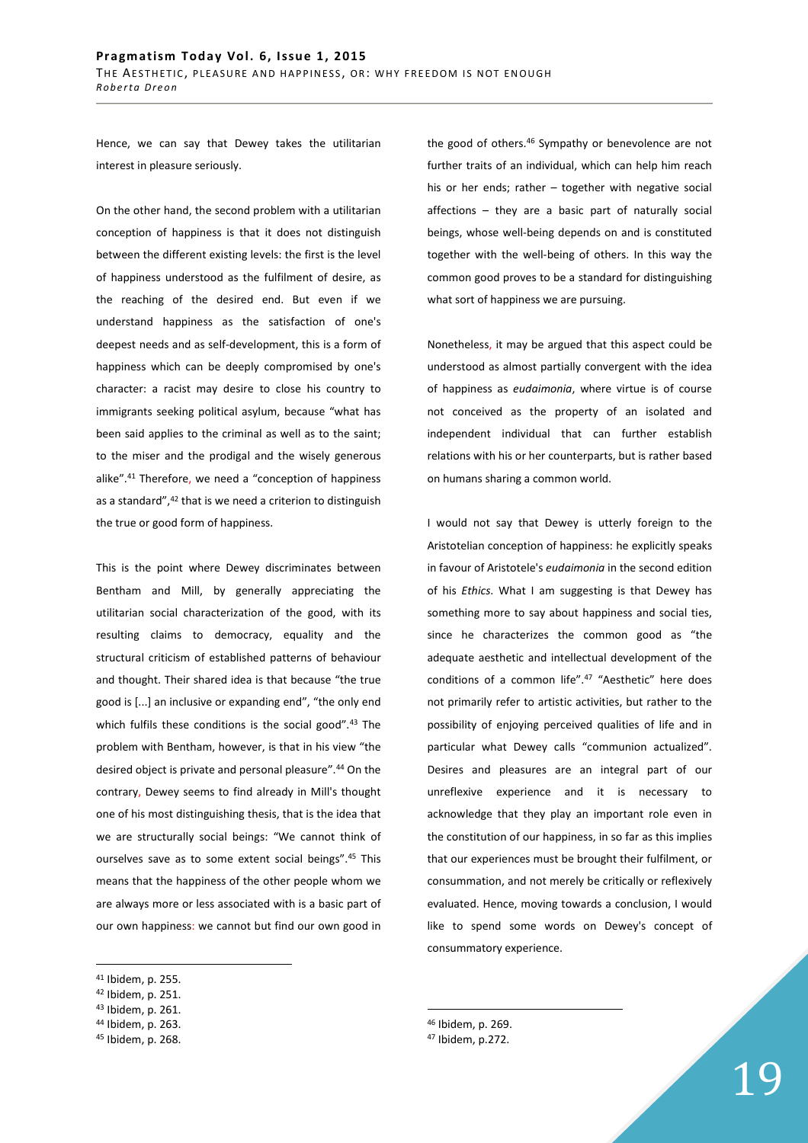Hence, we can say that Dewey takes the utilitarian interest in pleasure seriously.

On the other hand, the second problem with a utilitarian conception of happiness is that it does not distinguish between the different existing levels: the first is the level of happiness understood as the fulfilment of desire, as the reaching of the desired end. But even if we understand happiness as the satisfaction of one's deepest needs and as self-development, this is a form of happiness which can be deeply compromised by one's character: a racist may desire to close his country to immigrants seeking political asylum, because "what has been said applies to the criminal as well as to the saint; to the miser and the prodigal and the wisely generous alike".<sup>41</sup> Therefore, we need a "conception of happiness as a standard",<sup>42</sup> that is we need a criterion to distinguish the true or good form of happiness.

This is the point where Dewey discriminates between Bentham and Mill, by generally appreciating the utilitarian social characterization of the good, with its resulting claims to democracy, equality and the structural criticism of established patterns of behaviour and thought. Their shared idea is that because "the true good is [...] an inclusive or expanding end", "the only end which fulfils these conditions is the social good".<sup>43</sup> The problem with Bentham, however, is that in his view "the desired object is private and personal pleasure".<sup>44</sup> On the contrary, Dewey seems to find already in Mill's thought one of his most distinguishing thesis, that is the idea that we are structurally social beings: "We cannot think of ourselves save as to some extent social beings".<sup>45</sup> This means that the happiness of the other people whom we are always more or less associated with is a basic part of our own happiness: we cannot but find our own good in

 $\overline{a}$ 

the good of others.<sup>46</sup> Sympathy or benevolence are not further traits of an individual, which can help him reach his or her ends; rather – together with negative social affections – they are a basic part of naturally social beings, whose well-being depends on and is constituted together with the well-being of others. In this way the common good proves to be a standard for distinguishing what sort of happiness we are pursuing.

Nonetheless, it may be argued that this aspect could be understood as almost partially convergent with the idea of happiness as *eudaimonia*, where virtue is of course not conceived as the property of an isolated and independent individual that can further establish relations with his or her counterparts, but is rather based on humans sharing a common world.

I would not say that Dewey is utterly foreign to the Aristotelian conception of happiness: he explicitly speaks in favour of Aristotele's *eudaimonia* in the second edition of his *Ethics*. What I am suggesting is that Dewey has something more to say about happiness and social ties, since he characterizes the common good as "the adequate aesthetic and intellectual development of the conditions of a common life".<sup>47</sup> "Aesthetic" here does not primarily refer to artistic activities, but rather to the possibility of enjoying perceived qualities of life and in particular what Dewey calls "communion actualized". Desires and pleasures are an integral part of our unreflexive experience and it is necessary to acknowledge that they play an important role even in the constitution of our happiness, in so far as this implies that our experiences must be brought their fulfilment, or consummation, and not merely be critically or reflexively evaluated. Hence, moving towards a conclusion, I would like to spend some words on Dewey's concept of consummatory experience.

 $\overline{a}$ <sup>46</sup> Ibidem, p. 269.

<sup>41</sup> Ibidem, p. 255.

<sup>42</sup> Ibidem, p. 251.

<sup>43</sup> Ibidem, p. 261.

<sup>44</sup> Ibidem, p. 263.

<sup>45</sup> Ibidem, p. 268.

<sup>47</sup> Ibidem, p.272.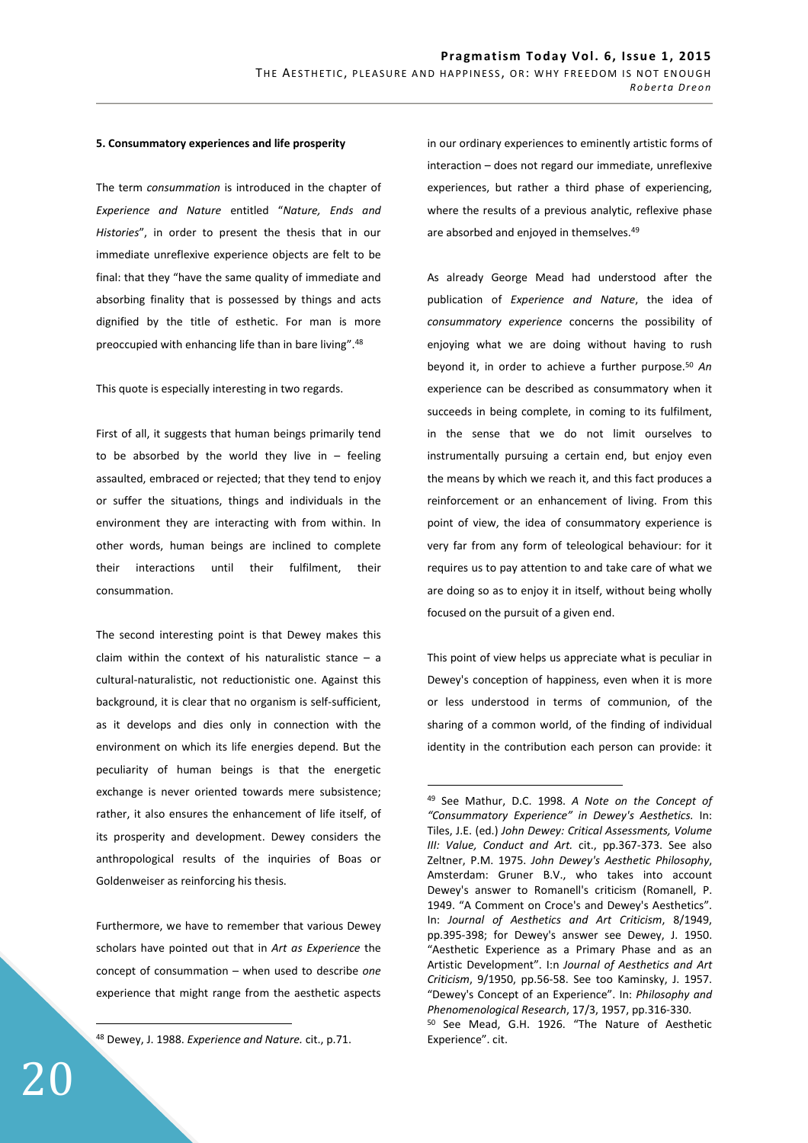#### **5. Consummatory experiences and life prosperity**

The term *consummation* is introduced in the chapter of *Experience and Nature* entitled "*Nature, Ends and Histories*", in order to present the thesis that in our immediate unreflexive experience objects are felt to be final: that they "have the same quality of immediate and absorbing finality that is possessed by things and acts dignified by the title of esthetic. For man is more preoccupied with enhancing life than in bare living".<sup>48</sup>

This quote is especially interesting in two regards.

First of all, it suggests that human beings primarily tend to be absorbed by the world they live in  $-$  feeling assaulted, embraced or rejected; that they tend to enjoy or suffer the situations, things and individuals in the environment they are interacting with from within. In other words, human beings are inclined to complete their interactions until their fulfilment, their consummation.

The second interesting point is that Dewey makes this claim within the context of his naturalistic stance  $-$  a cultural-naturalistic, not reductionistic one. Against this background, it is clear that no organism is self-sufficient, as it develops and dies only in connection with the environment on which its life energies depend. But the peculiarity of human beings is that the energetic exchange is never oriented towards mere subsistence; rather, it also ensures the enhancement of life itself, of its prosperity and development. Dewey considers the anthropological results of the inquiries of Boas or Goldenweiser as reinforcing his thesis.

Furthermore, we have to remember that various Dewey scholars have pointed out that in *Art as Experience* the concept of consummation – when used to describe *one* experience that might range from the aesthetic aspects

<sup>48</sup> Dewey, J. 1988. *Experience and Nature.* cit., p.71.

in our ordinary experiences to eminently artistic forms of interaction – does not regard our immediate, unreflexive experiences, but rather a third phase of experiencing, where the results of a previous analytic, reflexive phase are absorbed and enjoyed in themselves.<sup>49</sup>

As already George Mead had understood after the publication of *Experience and Nature*, the idea of *consummatory experience* concerns the possibility of enjoying what we are doing without having to rush beyond it, in order to achieve a further purpose.<sup>50</sup> *An* experience can be described as consummatory when it succeeds in being complete, in coming to its fulfilment, in the sense that we do not limit ourselves to instrumentally pursuing a certain end, but enjoy even the means by which we reach it, and this fact produces a reinforcement or an enhancement of living. From this point of view, the idea of consummatory experience is very far from any form of teleological behaviour: for it requires us to pay attention to and take care of what we are doing so as to enjoy it in itself, without being wholly focused on the pursuit of a given end.

This point of view helps us appreciate what is peculiar in Dewey's conception of happiness, even when it is more or less understood in terms of communion, of the sharing of a common world, of the finding of individual identity in the contribution each person can provide: it

 $\overline{a}$ 

<sup>49</sup> See Mathur, D.C. 1998. *A Note on the Concept of "Consummatory Experience" in Dewey's Aesthetics.* In: Tiles, J.E. (ed.) *John Dewey: Critical Assessments, Volume III: Value, Conduct and Art.* cit., pp.367-373. See also Zeltner, P.M. 1975. *John Dewey's Aesthetic Philosophy*, Amsterdam: Gruner B.V., who takes into account Dewey's answer to Romanell's criticism (Romanell, P. 1949. "A Comment on Croce's and Dewey's Aesthetics". In: *Journal of Aesthetics and Art Criticism*, 8/1949, pp.395-398; for Dewey's answer see Dewey, J. 1950. "Aesthetic Experience as a Primary Phase and as an Artistic Development". I:n *Journal of Aesthetics and Art Criticism*, 9/1950, pp.56-58. See too Kaminsky, J. 1957. "Dewey's Concept of an Experience". In: *Philosophy and Phenomenological Research*, 17/3, 1957, pp.316-330. <sup>50</sup> See Mead, G.H. 1926. "The Nature of Aesthetic Experience". cit.